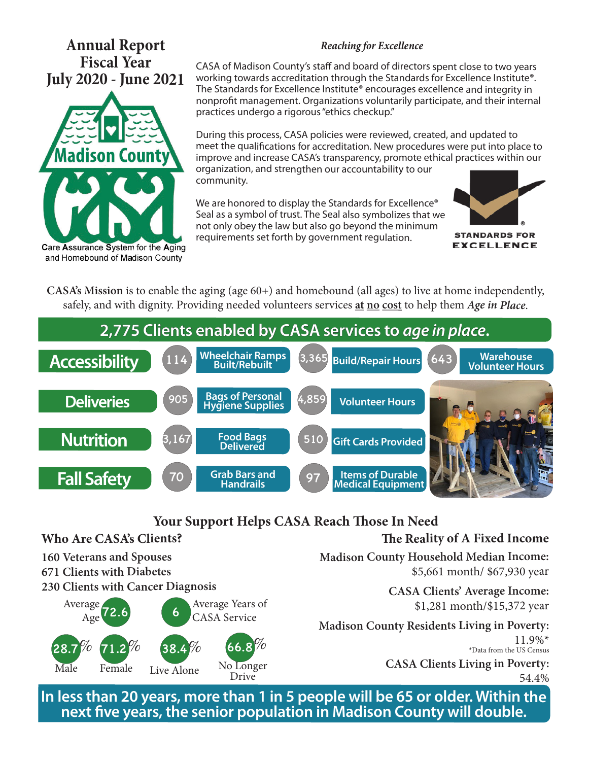# **Annual Report Fiscal Year July 2020 - June 2021**



#### **Reaching for Excellence**

CASA of Madison County's staff and board of directors spent close to two years working towards accreditation through the Standards for Excellence Institute®. The Standards for Excellence Institute® encourages excellence and integrity in nonprofit management. Organizations voluntarily participate, and their internal practices undergo a rigorous "ethics checkup."

During this process, CASA policies were reviewed, created, and updated to meet the qualifications for accreditation. New procedures were put into place to improve and increase CASA's transparency, promote ethical practices within our organization, and strengthen our accountability to our community.

We are honored to display the Standards for Excellence<sup>®</sup> Seal as a symbol of trust. The Seal also symbolizes that we not only obey the law but also go beyond the minimum requirements set forth by government regulation.



**EXCELLENCE** 

**CASA's Mission** is to enable the aging (age 60+) and homebound (all ages) to live at home independently, safely, and with dignity. Providing needed volunteers services **at no cost** to help them **Age in Place**.



## **Your Support Helps CASA Reach Those In Need**

#### **Who Are CASA's Clients? 160 Veterans and Spouses 671 Clients with Diabetes 230 Clients with Cancer Diagnosis The Reality of A Fixed Income Madison County Household Median Income:** \$5,661 month/ \$67,930 year **CASA Clients' Average Income:**  \$1,281 month/\$15,372 year **Madison County Residents Living in Poverty:** 11.9%\* \*Data from the US Census **CASA Clients Living in Poverty:** 54.4% 72.6 6 28.7*Y<sup>0</sup>* 71.2*Yo* 38.4*Yo* 66.8 Average Age Average Years of CASA Service  $\%$  71.2% 38.4% 66.8<sup>%</sup> Male Female Live Alone No Longer Drive

**In less than 20 years, more than 1 in 5 people will be 65 or older. Within the next five years, the senior population in Madison County will double.**